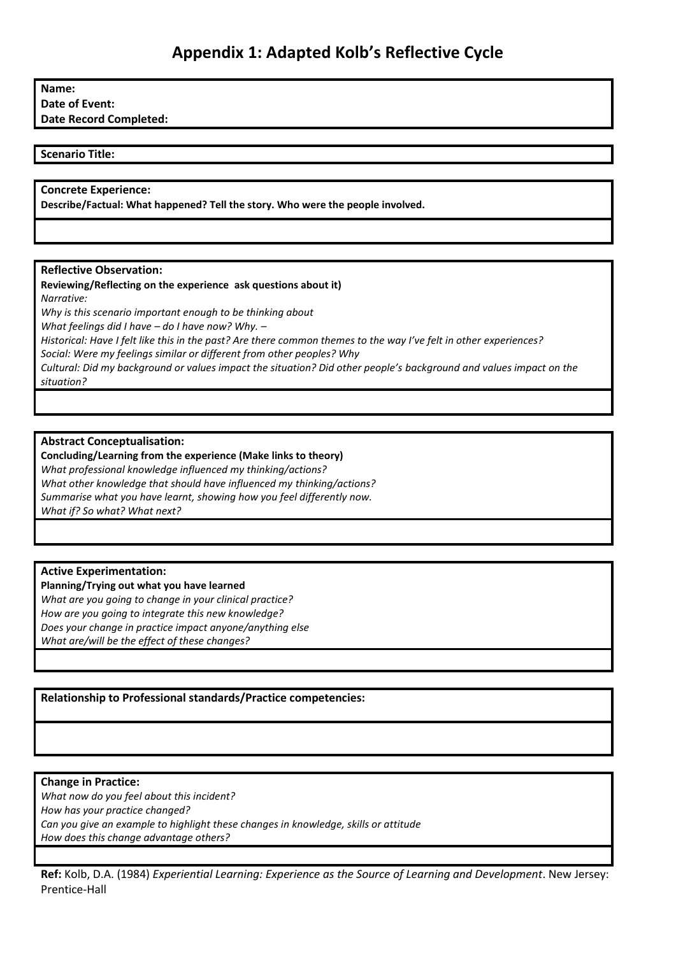# **Name:**

**Date of Event:**

**Date Record Completed:**

# **Scenario Title:**

# **Concrete Experience:**

**Describe/Factual: What happened? Tell the story. Who were the people involved.** 

# **Reflective Observation:**

#### **Reviewing/Reflecting on the experience ask questions about it)** *Narrative:*

*Why is this scenario important enough to be thinking about What feelings did I have – do I have now? Why. –* Historical: Have I felt like this in the past? Are there common themes to the way I've felt in other experiences? *Social: Were my feelings similar or different from other peoples? Why Cultural: Did my background or values impact the situation? Did other people's background and values impact on the situation?*

# **Abstract Conceptualisation:**

**Concluding/Learning from the experience (Make links to theory)** *What professional knowledge influenced my thinking/actions? What other knowledge that should have influenced my thinking/actions? Summarise what you have learnt, showing how you feel differently now. What if? So what? What next?*

# **Active Experimentation:**

# **Planning/Trying out what you have learned**

*What are you going to change in your clinical practice? How are you going to integrate this new knowledge? Does your change in practice impact anyone/anything else What are/will be the effect of these changes?*

**Relationship to Professional standards/Practice competencies:**

# **Change in Practice:**

*What now do you feel about this incident? How has your practice changed? Can you give an example to highlight these changes in knowledge, skills or attitude How does this change advantage others?*

**Ref:** Kolb, D.A. (1984) *Experiential Learning: Experience as the Source of Learning and Development*. New Jersey: Prentice-Hall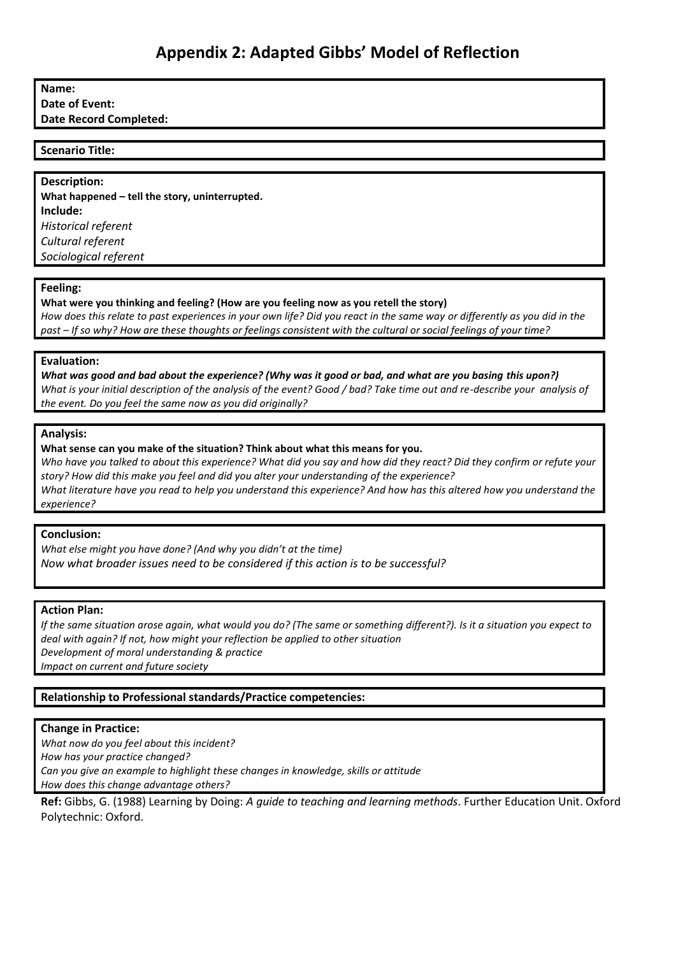# **Name:**

**Date of Event:**

**Date Record Completed:**

#### **Scenario Title:**

**Description: What happened – tell the story, uninterrupted. Include:** *Historical referent Cultural referent Sociological referent*

#### **Feeling:**

**What were you thinking and feeling? (How are you feeling now as you retell the story)** *How does this relate to past experiences in your own life? Did you react in the same way or differently as you did in the past – If so why? How are these thoughts or feelings consistent with the cultural or social feelings of your time?*

#### **Evaluation:**

*What was good and bad about the experience? (Why was it good or bad, and what are you basing this upon?) What is your initial description of the analysis of the event? Good / bad? Take time out and re-describe your analysis of the event. Do you feel the same now as you did originally?*

#### **Analysis:**

**What sense can you make of the situation? Think about what this means for you.**

*Who have you talked to about this experience? What did you say and how did they react? Did they confirm or refute your story? How did this make you feel and did you alter your understanding of the experience? What literature have you read to help you understand this experience? And how has this altered how you understand the experience?*

# **Conclusion:**

*What else might you have done? (And why you didn't at the time) Now what broader issues need to be considered if this action is to be successful?*

# **Action Plan:**

*If the same situation arose again, what would you do? (The same or something different?). Is it a situation you expect to deal with again? If not, how might your reflection be applied to other situation Development of moral understanding & practice Impact on current and future society*

# **Relationship to Professional standards/Practice competencies:**

# **Change in Practice:**

*What now do you feel about this incident? How has your practice changed? Can you give an example to highlight these changes in knowledge, skills or attitude How does this change advantage others?*

**Ref:** Gibbs, G. (1988) Learning by Doing: *A guide to teaching and learning methods*. Further Education Unit. Oxford Polytechnic: Oxford.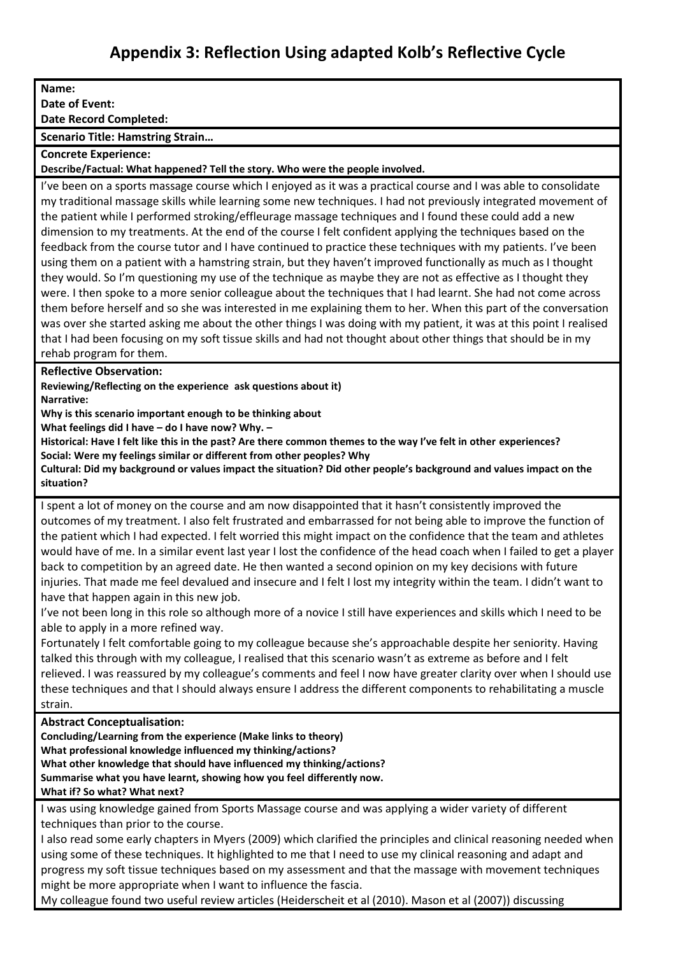# **Appendix 3: Reflection Using adapted Kolb's Reflective Cycle**

**Name: Date of Event: Date Record Completed: Scenario Title: Hamstring Strain… Concrete Experience: Describe/Factual: What happened? Tell the story. Who were the people involved.**  I've been on a sports massage course which I enjoyed as it was a practical course and I was able to consolidate my traditional massage skills while learning some new techniques. I had not previously integrated movement of the patient while I performed stroking/effleurage massage techniques and I found these could add a new dimension to my treatments. At the end of the course I felt confident applying the techniques based on the feedback from the course tutor and I have continued to practice these techniques with my patients. I've been using them on a patient with a hamstring strain, but they haven't improved functionally as much as I thought they would. So I'm questioning my use of the technique as maybe they are not as effective as I thought they were. I then spoke to a more senior colleague about the techniques that I had learnt. She had not come across them before herself and so she was interested in me explaining them to her. When this part of the conversation was over she started asking me about the other things I was doing with my patient, it was at this point I realised that I had been focusing on my soft tissue skills and had not thought about other things that should be in my rehab program for them. **Reflective Observation: Reviewing/Reflecting on the experience ask questions about it) Narrative: Why is this scenario important enough to be thinking about What feelings did I have – do I have now? Why. – Historical: Have I felt like this in the past? Are there common themes to the way I've felt in other experiences? Social: Were my feelings similar or different from other peoples? Why Cultural: Did my background or values impact the situation? Did other people's background and values impact on the situation?** I spent a lot of money on the course and am now disappointed that it hasn't consistently improved the outcomes of my treatment. I also felt frustrated and embarrassed for not being able to improve the function of the patient which I had expected. I felt worried this might impact on the confidence that the team and athletes would have of me. In a similar event last year I lost the confidence of the head coach when I failed to get a player back to competition by an agreed date. He then wanted a second opinion on my key decisions with future injuries. That made me feel devalued and insecure and I felt I lost my integrity within the team. I didn't want to have that happen again in this new job. I've not been long in this role so although more of a novice I still have experiences and skills which I need to be able to apply in a more refined way. Fortunately I felt comfortable going to my colleague because she's approachable despite her seniority. Having talked this through with my colleague, I realised that this scenario wasn't as extreme as before and I felt relieved. I was reassured by my colleague's comments and feel I now have greater clarity over when I should use these techniques and that I should always ensure I address the different components to rehabilitating a muscle strain. **Abstract Conceptualisation: Concluding/Learning from the experience (Make links to theory) What professional knowledge influenced my thinking/actions? What other knowledge that should have influenced my thinking/actions? Summarise what you have learnt, showing how you feel differently now. What if? So what? What next?** I was using knowledge gained from Sports Massage course and was applying a wider variety of different

techniques than prior to the course.

I also read some early chapters in Myers (2009) which clarified the principles and clinical reasoning needed when using some of these techniques. It highlighted to me that I need to use my clinical reasoning and adapt and progress my soft tissue techniques based on my assessment and that the massage with movement techniques might be more appropriate when I want to influence the fascia.

My colleague found two useful review articles (Heiderscheit et al (2010). Mason et al (2007)) discussing